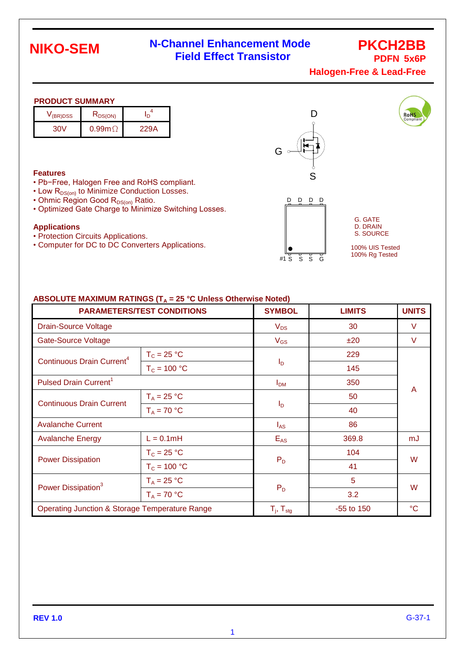# **NIKO-SEM**

## **N-Channel Enhancement Mode Field Effect Transistor**

**PKCH2BB PDFN 5x6P**

**RoHS** 

**Halogen-Free & Lead-Free**

#### **PRODUCT SUMMARY**

| V(BR)DSS | $R_{DS(ON)}$  |      |
|----------|---------------|------|
| ו\ה?     | $0.99m\Omega$ | 229A |

#### **Features**

- Pb−Free, Halogen Free and RoHS compliant.
- $\cdot$  Low  $R_{DS(on)}$  to Minimize Conduction Losses.
- Ohmic Region Good  $R_{DS(on)}$  Ratio.
- Optimized Gate Charge to Minimize Switching Losses.

#### **Applications**

- Protection Circuits Applications.
- Computer for DC to DC Converters Applications.





G. GATE D. DRAIN S. SOURCE

100% UIS Tested 100% Rg Tested

#### ABSOLUTE MAXIMUM RATINGS (T<sub>A</sub> = 25 °C Unless Otherwise Noted)

| <b>PARAMETERS/TEST CONDITIONS</b>                         |                | <b>SYMBOL</b>              | <b>LIMITS</b> | <b>UNITS</b>    |  |
|-----------------------------------------------------------|----------------|----------------------------|---------------|-----------------|--|
| <b>Drain-Source Voltage</b>                               |                | $V_{DS}$                   | 30            | V               |  |
| Gate-Source Voltage                                       |                | $V_{GS}$                   | ±20           | V               |  |
| Continuous Drain Current <sup>4</sup>                     | $T_c = 25 °C$  |                            | 229           |                 |  |
|                                                           | $T_c = 100 °C$ | $I_{\mathsf{D}}$           | 145           |                 |  |
| Pulsed Drain Current <sup>1</sup>                         |                | I <sub>DM</sub>            | 350           |                 |  |
| <b>Continuous Drain Current</b>                           | $T_A = 25 °C$  | $I_{\mathsf{D}}$           | 50            | A               |  |
|                                                           | $T_A = 70 °C$  |                            | 40            |                 |  |
| <b>Avalanche Current</b>                                  |                | $I_{AS}$                   | 86            |                 |  |
| <b>Avalanche Energy</b>                                   | $L = 0.1mH$    | $E_{AS}$                   | 369.8         | mJ              |  |
| <b>Power Dissipation</b>                                  | $T_c = 25 °C$  | $P_D$                      | 104           | W               |  |
|                                                           | $T_c = 100 °C$ |                            | 41            |                 |  |
| Power Dissipation <sup>3</sup>                            | $T_A = 25 °C$  |                            | 5             | W               |  |
|                                                           | $T_A = 70 °C$  | $P_D$                      | 3.2           |                 |  |
| <b>Operating Junction &amp; Storage Temperature Range</b> |                | $T_{j}$ , $T_{\text{stg}}$ | -55 to 150    | $\rm ^{\circ}C$ |  |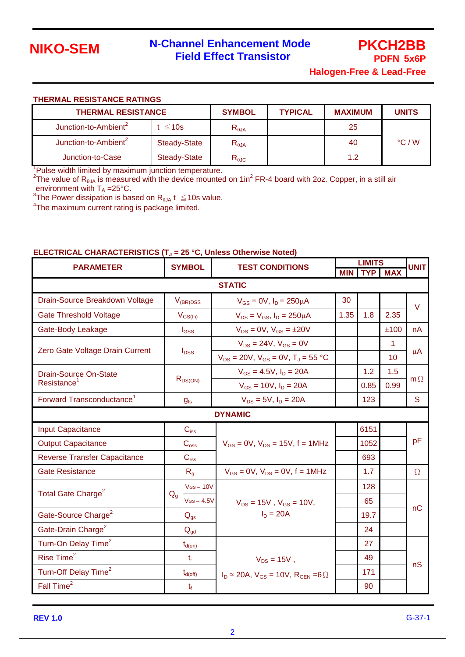

# **N-Channel Enhancement Mode Field Effect Transistor**

**PKCH2BB PDFN 5x6P**

**Halogen-Free & Lead-Free**

#### **THERMAL RESISTANCE RATINGS**

| <b>THERMAL RESISTANCE</b>        |                     | <b>SYMBOL</b>  | <b>TYPICAL</b> | <b>MAXIMUM</b> | <b>UNITS</b>    |
|----------------------------------|---------------------|----------------|----------------|----------------|-----------------|
| Junction-to-Ambient <sup>2</sup> | $t \leq 10s$        | $R_{\theta$ JA |                | 25             |                 |
| Junction-to-Ambient <sup>2</sup> | Steady-State        | $R_{\theta$ JA |                | 40             | $\degree$ C / W |
| Junction-to-Case                 | <b>Steady-State</b> | $R_{\theta$ JC |                | 1.2            |                 |

<sup>1</sup>Pulse width limited by maximum junction temperature.<br><sup>2</sup>The value of R<sub>6JA</sub> is measured with the device mounted on 1in<sup>2</sup> FR-4 board with 2oz. Copper, in a still air

environment with T<sub>A</sub> =25°C.<br><sup>3</sup>The Power dissipation is based on R<sub>eJA</sub> t  $\leq$ 10s value.

<sup>4</sup>The maximum current rating is package limited.

#### **ELECTRICAL CHARACTERISTICS (T<sup>J</sup> = 25 °C, Unless Otherwise Noted)**

| <b>PARAMETER</b>                      | <b>SYMBOL</b><br><b>TEST CONDITIONS</b> |                                                          | <b>LIMITS</b> |            |            | <b>UNIT</b> |  |
|---------------------------------------|-----------------------------------------|----------------------------------------------------------|---------------|------------|------------|-------------|--|
|                                       |                                         |                                                          | <b>MIN</b>    | <b>TYP</b> | <b>MAX</b> |             |  |
| <b>STATIC</b>                         |                                         |                                                          |               |            |            |             |  |
| Drain-Source Breakdown Voltage        | $V_{(BR)DSS}$                           | $V_{GS} = 0V$ , $I_D = 250 \mu A$                        | 30            |            |            | $\vee$      |  |
| <b>Gate Threshold Voltage</b>         | $V_{GS(th)}$                            | $V_{DS} = V_{GS}$ , $I_D = 250 \mu A$                    | 1.35          | 1.8        | 2.35       |             |  |
| Gate-Body Leakage                     | $I_{GSS}$                               | $V_{DS} = 0V$ , $V_{GS} = \pm 20V$                       |               |            | ±100       | nA          |  |
| Zero Gate Voltage Drain Current       | $I_{DSS}$                               | $V_{DS} = 24V$ , $V_{GS} = 0V$                           |               |            | 1.         |             |  |
|                                       |                                         | $V_{DS}$ = 20V, $V_{GS}$ = 0V, $T_J$ = 55 °C             |               |            | 10         | μA          |  |
| <b>Drain-Source On-State</b>          | $R_{DS(ON)}$                            | $V_{GS} = 4.5V$ , $I_D = 20A$                            |               | 1.2        | 1.5        | $m\Omega$   |  |
| Resistance <sup>1</sup>               |                                         | $V_{GS} = 10V$ , $I_D = 20A$                             |               | 0.85       | 0.99       |             |  |
| Forward Transconductance <sup>1</sup> | g <sub>fs</sub>                         | $V_{DS} = 5V$ , $I_D = 20A$                              |               | 123        |            | S           |  |
|                                       |                                         | <b>DYNAMIC</b>                                           |               |            |            |             |  |
| <b>Input Capacitance</b>              | $C_{iss}$                               |                                                          |               | 6151       |            |             |  |
| <b>Output Capacitance</b>             | $C_{\rm oss}$                           | $V_{GS} = 0V$ , $V_{DS} = 15V$ , f = 1MHz                |               | 1052       |            | pF          |  |
| <b>Reverse Transfer Capacitance</b>   | $C_{\text{rss}}$                        |                                                          |               | 693        |            |             |  |
| <b>Gate Resistance</b>                | $R_{\alpha}$                            | $V_{GS} = 0V$ , $V_{DS} = 0V$ , $f = 1MHz$               |               | 1.7        |            | $\Omega$    |  |
|                                       | $V$ Gs = 10 $V$                         |                                                          |               | 128        |            |             |  |
| Total Gate Charge <sup>2</sup>        | $Q_q$<br>$V$ Gs = 4.5 $V$               | $V_{DS} = 15V$ , $V_{GS} = 10V$ ,                        |               | 65         |            |             |  |
| Gate-Source Charge <sup>2</sup>       | $Q_{gs}$                                | $I_D = 20A$                                              |               | 19.7       |            | nC          |  |
| Gate-Drain Charge <sup>2</sup>        | $Q_{gd}$                                |                                                          |               | 24         |            |             |  |
| Turn-On Delay Time <sup>2</sup>       | $t_{d(on)}$                             |                                                          |               | 27         |            |             |  |
| Rise Time <sup>2</sup>                | $t_{r}$                                 | $V_{DS} = 15V$ ,                                         |               | 49         |            |             |  |
| Turn-Off Delay Time <sup>2</sup>      | $t_{d(\text{off})}$                     | $I_D \approx 20A$ , $V_{GS} = 10V$ , $R_{GEN} = 6\Omega$ |               | 171        |            | nS          |  |
| Fall Time <sup>2</sup>                | $t_{\rm f}$                             |                                                          |               | 90         |            |             |  |

**REV 1.0**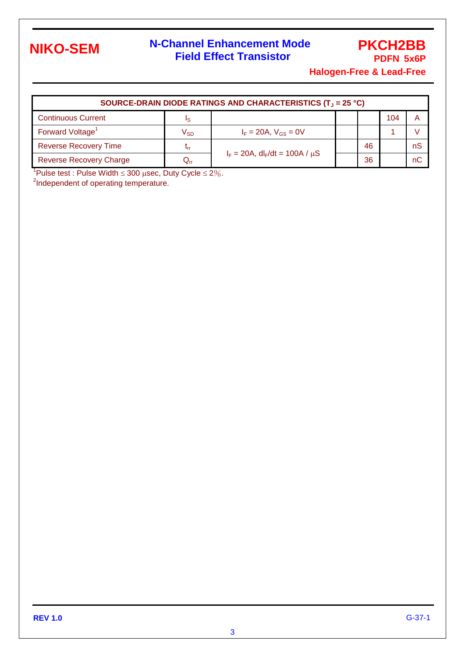

# **N-Channel Enhancement Mode Field Effect Transistor**

## **PKCH2BB PDFN 5x6P**

**Halogen-Free & Lead-Free**

| SOURCE-DRAIN DIODE RATINGS AND CHARACTERISTICS (T <sub>J</sub> = 25 °C) |                            |                                        |  |    |     |    |  |
|-------------------------------------------------------------------------|----------------------------|----------------------------------------|--|----|-----|----|--|
| <b>Continuous Current</b>                                               | Is                         |                                        |  |    | 104 |    |  |
| Forward Voltage <sup>1</sup>                                            | V <sub>SD</sub>            | $I_F = 20A$ , $V_{GS} = 0V$            |  |    |     |    |  |
| <b>Reverse Recovery Time</b>                                            | Լո                         | $I_F = 20A$ , $dl_F/dt = 100A / \mu S$ |  | 46 |     | nS |  |
| <b>Reverse Recovery Charge</b>                                          | $\mathsf{Q}_{\mathsf{rr}}$ |                                        |  | 36 |     | nC |  |

<sup>1</sup>Pulse test : Pulse Width  $\leq$  300  $\mu$ sec, Duty Cycle  $\leq$  2%.

<sup>2</sup>Independent of operating temperature.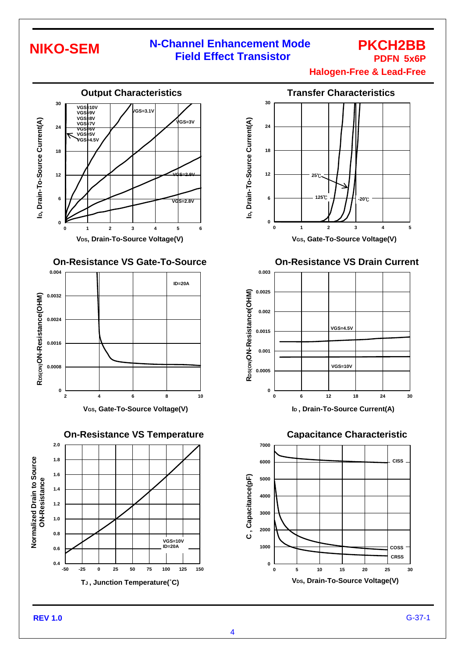# **NIKO-SEM**

### **N-Channel Enhancement Mode Field Effect Transistor**

### **PKCH2BB PDFN 5x6P**

**Halogen-Free & Lead-Free**



### **On-Resistance VS Gate-To-Source**







#### **On-Resistance VS Drain Current**



**I<sup>D</sup> , Drain-To-Source Current(A)**

**Capacitance Characteristic**



**REV 1.0**